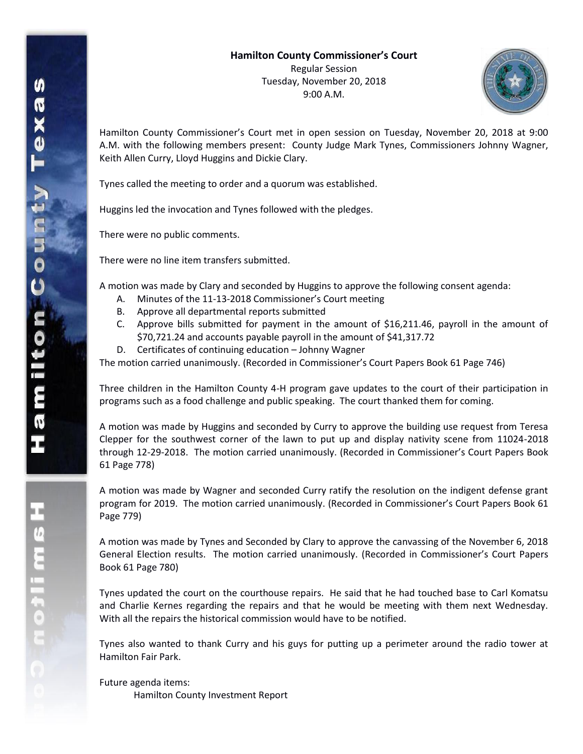

Hamilton County Commissioner's Court met in open session on Tuesday, November 20, 2018 at 9:00 A.M. with the following members present: County Judge Mark Tynes, Commissioners Johnny Wagner, Keith Allen Curry, Lloyd Huggins and Dickie Clary.

Tynes called the meeting to order and a quorum was established.

Huggins led the invocation and Tynes followed with the pledges.

There were no public comments.

There were no line item transfers submitted.

A motion was made by Clary and seconded by Huggins to approve the following consent agenda:

- A. Minutes of the 11-13-2018 Commissioner's Court meeting
- B. Approve all departmental reports submitted
- C. Approve bills submitted for payment in the amount of \$16,211.46, payroll in the amount of \$70,721.24 and accounts payable payroll in the amount of \$41,317.72
- D. Certificates of continuing education Johnny Wagner

The motion carried unanimously. (Recorded in Commissioner's Court Papers Book 61 Page 746)

Three children in the Hamilton County 4-H program gave updates to the court of their participation in programs such as a food challenge and public speaking. The court thanked them for coming.

A motion was made by Huggins and seconded by Curry to approve the building use request from Teresa Clepper for the southwest corner of the lawn to put up and display nativity scene from 11024-2018 through 12-29-2018. The motion carried unanimously. (Recorded in Commissioner's Court Papers Book 61 Page 778)

A motion was made by Wagner and seconded Curry ratify the resolution on the indigent defense grant program for 2019. The motion carried unanimously. (Recorded in Commissioner's Court Papers Book 61 Page 779)

A motion was made by Tynes and Seconded by Clary to approve the canvassing of the November 6, 2018 General Election results. The motion carried unanimously. (Recorded in Commissioner's Court Papers Book 61 Page 780)

Tynes updated the court on the courthouse repairs. He said that he had touched base to Carl Komatsu and Charlie Kernes regarding the repairs and that he would be meeting with them next Wednesday. With all the repairs the historical commission would have to be notified.

Tynes also wanted to thank Curry and his guys for putting up a perimeter around the radio tower at Hamilton Fair Park.

Future agenda items: Hamilton County Investment Report

エムミニャクこ